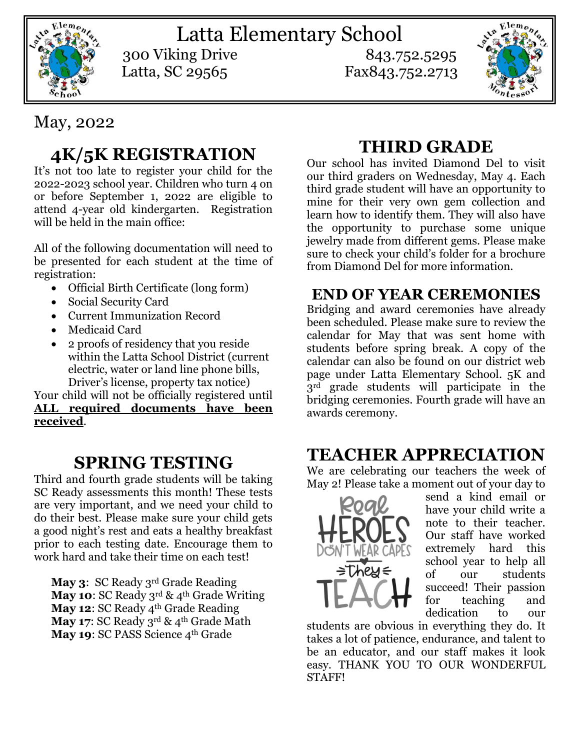

Latta Elementary School 300 Viking Drive 843.752.5295 Latta, SC 29565 Fax843.752.2713



# May, 2022

# **4K/5K REGISTRATION**

It's not too late to register your child for the 2022-2023 school year. Children who turn 4 on or before September 1, 2022 are eligible to attend 4-year old kindergarten. Registration will be held in the main office:

All of the following documentation will need to be presented for each student at the time of registration:

- Official Birth Certificate (long form)
- Social Security Card
- Current Immunization Record
- Medicaid Card
- 2 proofs of residency that you reside within the Latta School District (current electric, water or land line phone bills, Driver's license, property tax notice)

Your child will not be officially registered until **ALL required documents have been received**.

# **SPRING TESTING**

Third and fourth grade students will be taking SC Ready assessments this month! These tests are very important, and we need your child to do their best. Please make sure your child gets a good night's rest and eats a healthy breakfast prior to each testing date. Encourage them to work hard and take their time on each test!

**May 3**: SC Ready 3rd Grade Reading May 10: SC Ready 3<sup>rd</sup> & 4<sup>th</sup> Grade Writing **May 12: SC Ready 4th Grade Reading** May 17: SC Ready 3rd & 4<sup>th</sup> Grade Math May 19: SC PASS Science 4<sup>th</sup> Grade

# **THIRD GRADE**

Our school has invited Diamond Del to visit our third graders on Wednesday, May 4. Each third grade student will have an opportunity to mine for their very own gem collection and learn how to identify them. They will also have the opportunity to purchase some unique jewelry made from different gems. Please make sure to check your child's folder for a brochure from Diamond Del for more information.

#### **END OF YEAR CEREMONIES**

Bridging and award ceremonies have already been scheduled. Please make sure to review the calendar for May that was sent home with students before spring break. A copy of the calendar can also be found on our district web page under Latta Elementary School. 5K and 3<sup>rd</sup> grade students will participate in the bridging ceremonies. Fourth grade will have an awards ceremony.

### **TEACHER APPRECIATION**

We are celebrating our teachers the week of May 2! Please take a moment out of your day to



send a kind email or have your child write a note to their teacher. Our staff have worked extremely hard this school year to help all of our students succeed! Their passion for teaching and dedication to our

students are obvious in everything they do. It takes a lot of patience, endurance, and talent to be an educator, and our staff makes it look easy. THANK YOU TO OUR WONDERFUL STAFF!